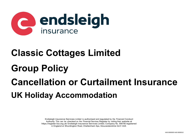

# **Classic Cottages Limited**

# **Group Policy**

# **Cancellation or Curtailment Insurance UK Holiday Accommodation**

Endsleigh Insurance Services Limited is authorised and regulated by the Financial Conduct Authority. This can be checked on the Financial Services Register by visiting their website at https://register.fca.org.uk/ Endsleigh Insurance Services Limited, Company No. 856706 registered in England at Shurdington Road, Cheltenham Spa, Gloucestershire GL51 4UE.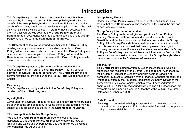### **Introduction**

This **Group Policy** cancellation or curtailment insurance has been arranged by Endsleigh on behalf of the **Group Policyholder** for the benefit of the **Group Policyholder** and the **Beneficiaries**. It contains details of the cover, conditions and exclusions applicable and is the basis on which all claims will be settled. In return for having accepted the premium, **We** will provide cover to the **Group Policyholder** and **Beneficiaries** in accordance with the operative sections of this **Group Policy** as referred to in the **Statement of Insurance**.

The **Statement of Insurance** issued together with this **Group Policy**  wording and any endorsements, shows which benefits the **Group Policyholder** has chosen, who is covered under this **Group Policy** and when and where cover applies. The **Group Policyholder** and the **Beneficiaries** should take the time to read this **Group Policy** carefully to ensure that it meets their needs.

This **Group Policy** wording, **Statement of Insurance** and any endorsements all form part of the **Group Policy**. This is a contract between the **Group Policyholder** and **Us**. The **Group Policy** and all communications before and during the **Policy Term** will be provided in English.

#### **Residency**

This **Group Policy** is only available to the **Beneficiary** if they are residents of the **United Kingdom**.

#### **Age eligibility**

Cover under this **Group Policy** is not available to any **Beneficiary** aged 80 or over at the time of departure. Some benefits and **Excess** may be subject to age limitations as stated in the **Statement of Insurance**.

#### **The Law applicable to this Group Policy**

**We** and the **Group Policyholder** are free to choose the laws applicable to this **Group Policy**. **We** propose to apply the laws of England and Wales and by purchasing this **Group Policy** the **Group Policyholder** has agreed to this.

#### **Group Policy Excess**

Under this **Group Policy**, claims will be subject to an **Excess**. This means that each **Beneficiary** will be responsible for paying the first part of each and every claim.

#### **Group Policy information or advice**

The **Group Policyholder** must give a copy of this **Group Policy** wording, **Statement of Insurance** and any endorsements to each **Beneficiary** at the time they are accepted for cover under this **Group Policy**. If the **Group Policyholder** would like more information or feel that this insurance may not meet their needs, please contact your Endsleigh representative. If you are a traveller covered under this **Group Policy** (a **Beneficiary**)**,** and would like more information or feel that this insurance may not meet your needs, contact the **Group Policyholder** at the address shown in the **Statement of Insurance**.

#### **The Insurer**

This **Group Policy** is underwritten by Zurich Insurance plc, which is authorised and regulated by the Central Bank of Ireland. Authorised by the Prudential Regulation Authority and with deemed variation of permission. Subject to regulation by the Financial Conduct Authority and limited regulation by the Prudential Regulation Authority. Details of the Temporary Permissions Regime, which allows EEA-based firms to operate in the UK for a limited period while seeking full authorisation, are available on the Financial Conduct Authority's website. **Our** FCA Firm Reference Number is 203093.

#### **Data Protection**

Endsleigh is committed to being transparent about how we handle your data and protect your privacy. Full details can be found within our privacy policy at www.endsleigh.co.uk/privacy.

1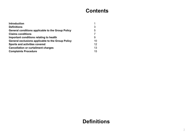# **Contents**

| <b>Introduction</b>                               |    |
|---------------------------------------------------|----|
| <b>Definitions</b>                                | 3  |
| General conditions applicable to the Group Policy | 5  |
| <b>Claims conditions</b>                          |    |
| Important conditions relating to health           | 9  |
| General exclusions applicable to the Group Policy | 10 |
| Sports and activities covered                     | 12 |
| <b>Cancellation or curtailment charges</b>        | 13 |
| <b>Complaints Procedure</b>                       | 15 |

## **Definitions**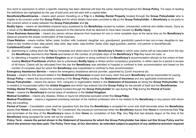Any word or expression to which a specific meaning has been attached will bear the same meaning throughout this **Group Policy**. For ease of reading the definitions are highlighted by the use of bold print and will start with a capital letter.

**Beneficiary/Beneficiaries** – means each person travelling on a **Trip** to a **Holiday Rental Property** booked through the **Group Policyholder** who is eligible to be covered under this **Group Policy** and for which details have been provided to **Us** by the **Group Policyholder**. A **Beneficiary** is not party to this contract which is solely between the **Group Policyholder** and **Us**.

**Bodily Injury** – means an identifiable physical injury sustained by the **Beneficiary** caused by sudden, unexpected, external and visible means. Injury as a result of the **Beneficiary's** unavoidable exposure to the elements shall be deemed to have been caused by **Bodily Injury**.

**Close Business Associate** – means any person whose absence from business for one or more complete days at the same time as the **Beneficiary's**  absence prevents the proper continuation of that business.

**Close Relative** – means mother, father, sister, brother, wife, husband, daughter, son, grandparent, grandchild, parent-in-law, son-in-law, daughter-in- law, sister-in-law, brother-in-law, step parent, step child, step sister, step brother, foster child, legal guardian, partner, civil partner or fiancé/fiancée. **Curtailment/Curtail** – means either:

- a) abandoning or cutting short the **Trip** by immediate and direct return to the **Beneficiary's Home** in which case claims will be calculated from the day the **Beneficiary** returned to their **Home** and based on the number of complete days of the **Beneficiary's Trip** they have not used, or
- b) by attending a hospital in the **United Kingdom** as an in-patient or being confined to the **Beneficiary's** accommodation abroad on the orders of their treating **Medical Practitioner** whether due to unforeseen **Bodily Injury** or illness and/or compulsory quarantine, in either case for a period in excess of 48 hours. Claims will be calculated from the day the **Beneficiary** was admitted to hospital or confined to their accommodation and based on the number of complete days for which the **Beneficiary** was hospitalised or confined to their accommodation

**Emergency Assistance Service –** means the emergency assistance service provider, appointed by Zurich Insurance plc.

**Excess –** means the first amount stated in the **Statement of Insurance** of each and every claim that each **Beneficiary** will be responsible for paying. **Group Policy –** means the documents consisting of the **Group Policy** wording, the **Statement of Insurance** and any applicable endorsements.

**Group Policyholder** – means the person, firm, company or organisation stated in the **Statement of Insurance** as being the **Group Policyholder**, that is resident or incorporated within the **United Kingdom** and which has entered into this **Group Policy** for the benefit of itself and the **Beneficiaries**.

**Holiday Rental Property** – means the property booked through the **Group Policyholder** for use during the **Trip** during the **Period of Cover**.

**Home** – means the **Beneficiary's** normal place of residence in the **United Kingdom.**

**Medical Condition** – means any disease, illness or injury not otherwise excluded under this **Group Policy**.

**Medical Practitioner** – means a registered practising member of the medical profession who is not related to the **Beneficiary** or any person with whom they are travelling.

**Period of Cover** – Cancellation cover shall be operative from the time the **Beneficiary** is accepted for cover and shall terminate when the **Beneficiary**  leaves their **Home** to commence their **Trip**. For Curtailment, the insurance commences when the **Beneficiary** leaves their **Home** to commence their **Trip**  and terminates at the time of the **Beneficiary's** return to their **Home** on completion of their **Trip**. Any **Trip** that had already begun at the time of the **Beneficiary** being accepted for cover will not be covered.

**Policy Term - means the period shown in the Statement of Insurance for which the Group Policyholder has taken out this Group Policy and for which the premium has been paid. The Policy Term may, at Our discretion, be extended subject to payment of any additional premium required**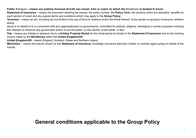#### Public Transport – means any publicly licensed aircraft, sea vessel, train or coach on which the Beneficiary is booked to travel.

**Statement of Insurance** – means the document detailing the Insurer, the policy number, the **Policy Term**, the sections which are operative, benefits for each section of cover and any special terms and conditions which may apply to the **Group Policy**.

**Terrorism** – means an act, including but not limited to the use of force or violence and/or the threat thereof, of any person or group(s) of persons, whether acting

alone or on behalf of or in connection with any organisations(s) or governments, committed for political, religious, ideological or similar purposes including the intention to influence any government and/or to put the public, or any section of the public, in fear.

**Trip** – means any holiday or pleasure trip to a **Holiday Property Rental** for the rental period as shown in the **Statement of Insurance** and on the booking invoice made by the **Beneficiary** within the **United Kingdom/UK**.

**United Kingdom/UK** - means England, Scotland, Wales and Northern Ireland.

**We/Us/Our** – means the Insurer shown on the **Statement of Insurance**, Endsleigh Insurance Services Limited, or another agent acting on behalf of the Insurer.

### **General conditions applicable to the Group Policy**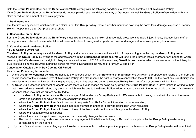Both the **Group Policyholder** and the **Beneficiaries** MUST comply with the following conditions to have the full protection of this **Group Policy**. If the **Group Policyholder** or the **Beneficiaries** do not comply with such conditions **We** may at **Our** option cancel this **Group Policy** refuse to deal with any claim or reduce the amount of any claim payment.

#### **1. Dual insurance**

If at the time of any incident which results in a claim under this **Group Policy**, there is another insurance covering the same loss, damage, expense or liability. **We** will not pay more than **Our** proportional share.

#### **2. Reasonable precautions**

Both the **Group Policyholder** and the **Beneficiary** must take and cause to be taken all reasonable precautions to avoid injury, illness, disease, loss, theft or damage and also take and cause to be taken all practicable steps to safeguard property from loss or damage and to recover property lost or stolen.

#### **3. Cancellation of the Group Policy**

#### **14 Day Cooling Off Period**

The **Group Policyholder** may cancel this **Group Policy** and all associated cover sections within 14 days starting from the day the **Group Policyholder**  received the **Group Policy** by writing to the address shown in the **Statement of Insurance**. **We** will refund the premium less a charge for any period for which cover applied. We also reserve the right to charge a cancellation fee of £20.00. In the event any **Beneficiaries** have travelled or a claim or an incident likely to give rise to a claim has occurred during the period for which cover applied, no refund of premium will be given.

#### **Cancellation Outside the 14 Day Cooling Off Period**

This **Group Policy** may be cancelled:

- a) by the **Group Policyholder** sending **Us** notice to the address shown on the **Statement of Insurance**. **We** will return a proportionate refund of the premium paid in respect of the unexpired term of this **Group Policy**. We also reserve the right to charge a cancellation fee of £20.00. In the event any **Beneficiary** has travelled or a claim or an incident likely to give rise to a claim has occurred during the current **Policy Term** no refund of premium will be given.
- b) by **Us** or **Our** authorised underwriting agents where there is a valid reason for doing so by giving the **Group Policyholder** 21 days' notice in writing to their last known address. **We** will refund any premium which may be due to the **Group Policyholder** in accordance with the terms of this condition. Valid reasons for cancellation may include but are not limited to:
	- If the **Group Policyholder** advises **Us** of a change of risk under this **Group Policy** which **We** are unable to insure, or unable to insure at the same terms and conditions on which cover was originally underwritten;
	- Where the **Group Policyholder** fails to respond to requests from **Us** for further information or documentation;
	- Where the **Group Policyholder** has given incorrect information and fails to provide clarification when requested;
	- Where the **Group Policyholder** is in breach of any of the terms and conditions which apply to this **Group Policy**;
	- Where **We** reasonably suspect fraud;
	- Where there is a change in law or regulation that materially changes the risk insured; or
	- The use of threatening or abusive behaviour or language, or intimidation or bullying of **Our** staff or suppliers, by the **Group Policyholder** or any person acting on their behalf
- c) by **Us** or **Our** authorised underwriting agents if **We** have been unable to collect a premium payment. In this case the **Group Policyholder** will be notified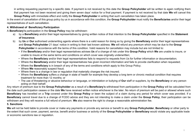in writing requesting payment by a specific date. If payment is not received by this date the **Group Policyholder** will be written to again notifying them that payment has not been received and giving them seven days' notice for a final payment. If payment is not received by that date **We** will cancel this **Group Policy** with immediate effect and notify the **Group Policyholder** in writing that such cancellation has taken place.

In the event of cancellation of this group policy by us in accordance with this condition, the **Group Policyholder** must notify the **Beneficiaries** and/or their legal representatives of such cancellation.

#### **4. Withdrawal of Beneficiary Participation**

A **Beneficiary's** participation in the **Group Policy** may be withdrawn:

- a) by a **Beneficiary** and/or their legal representatives by giving written notice of that intention to the **Group Policyholder** specified in the **Statement of Insurance**.
- b) by **Us** or **Our** authorised underwriting agents where there is a valid reason for doing so by giving the **Beneficiary** and/or their legal representatives and **Group Policyholder** 21 days' notice in writing to their last known address. **We** will refund any premium which may be due to the **Group**  Policyholder in accordance with the terms of this condition. Valid reasons for cancellation may include but are not limited to:
	- If the **Beneficiary** and/or their legal representatives advises **Us** of a change of risk under this **Group Policy** which **We** are unable to insure, or unable to insure at the same terms and conditions on which cover was originally underwritten;
	- Where the Beneficiary and/or their legal representatives fails to respond to requests from Us for further information or documentation;
	- Where the **Beneficiary** and/or their legal representatives has given incorrect information and fails to provide clarification when requested;
	- Where the **Beneficiary** is in breach of any of the terms and conditions which apply to this Group Policy;
	- Where **We** reasonably suspect fraud;
	- Where there is a change in law or regulation that materially changes the risk insured;
	- Where the **Beneficiary** suffers a change in state of health for example they develop a long term or chronic medical condition that requires treatment for more than 12 months; or
	- The use of threatening or abusive behaviour or language, or intimidation or bullying of **Our** staff or suppliers, by the **Beneficiary** or any person acting on their behalf.

Any return of premium due to the **Group Policyholder** as a result of a **Beneficiary's** withdrawal from participation in the **Group Policy** will be calculated from the date such participation ceases or the date **We** have received written notice whichever is the later. No return of premium will be paid or allowed where such **Beneficiary** has travelled on a **Trip** covered under this **Group Policy** or been the subject of a claim during any period for which cover was provided. If a **Beneficiary** cannot travel due to a change of FCDO advice and they are not intending to make a claim under the **Group Policy**, their participation can be withdrawn and they will receive a full refund of premium. **We** also reserve the right to charge a reasonable administration fee.

#### **5. Sanctions**

**We** will not be held liable to provide cover or make any payments or provide any service or benefit to any **Group Policyholder**, **Beneficiary** or other party to the extent that such cover, payment, service, benefit and/or business or activity of the **Group Policyholder** or **Beneficiary** would violate any applicable trade or economic sanctions law or regulation.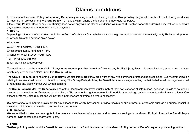## **Claims conditions**

In the event of the **Group Policyholder** or any **Beneficiary** wanting to make a claim against the **Group Policy**, they must comply with the following conditions to have the full protection of the **Group Policy**. To make a claim, phone the telephone number detailed below.

If the **Group Policyholder** or any **Beneficiary** does not comply with the claims conditions **We** may at **Our** option cancel the **Group** Policy, refuse to deal with any **claim** or reduce the amount of any claim payment.

#### **1. Claims**

Depending on the type of claim **We** should be notified preferably via **Our** website www.endsleigh.co.uk/claim-centre. Alternatively notify **Us** by email, phone or write to **Us** at the address given below:

#### **All claims**

CEGA Travel Claims, PO Box 127, Cheesemans Lane, Funtington Park, Chichester, West Sussex, PO18 8WQ Tel: +44(0) 1202 038 946 Email: claims@cegagroup.com

The notification must be made within 31 days or as soon as possible thereafter following any **Bodily Injury**, illness, disease, incident, event or redundancy which may give rise to a claim under this **Group Policy.**

The **Group Policyholder** and/or the **Beneficiary** must also inform **Us** if they are aware of any writ, summons or impending prosecution. Every communication relating to a claim must be sent to **Us** without delay. The **Group Policyholder**, the **Beneficiary** and/or anyone acting on their behalf must not negotiate admit or repudiate any claim without **Our** written consent.

The **Group Policyholder**, the **Beneficiary** and/or their legal representatives must supply at their own expense all information, evidence, details of household insurance and medical certificates as required by **Us**. **We** reserve the right to require the **Beneficiary** to undergo an independent medical examination at **Our**  expense. **We** may also request and will pay for a post-mortem examination where necessary.

We may refuse to reimburse a claimant for any expenses for which they cannot provide receipts or bills or proof of ownership such as an original receipt, a valuation, original user manual or bank credit card statements.

#### **2. Subrogation**

**We** are entitled to take over any rights in the defence or settlement of any claim and to take proceedings in the **Group Policyholder** or the **Beneficiary's**  name for **Our** benefit against any other party.

#### **3. Fraud**

The **Group Policyholder** and the **Beneficiaries** must not act in a fraudulent manner. If the **Group Policyholder**, a **Beneficiary** or anyone acting for them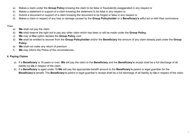- a) Makes a claim under the **Group Policy** knowing the claim to be false or fraudulently exaggerated in any respect or
- b) Makes a statement in support of a claim knowing the statement to be false in any respect or
- c) Submit a document in support of a claim knowing the document to be forged or false in any respect or
- d) Makes a claim in respect of any loss or damage caused by the **Group Policyholder** or a **Beneficiary's** wilful act or with their connivance

#### Then

- a) **We** shall not pay the claim
- b) **We** shall reserve the right not to pay any other claim which has been or will be made under the **Group Policy.**
- c) **We** may at **Our** option declare the **Group Policy** void
- d) **We** shall be entitled to recover from the **Group Policyholder** and/or the **Beneficiary** the amount of any claim already paid under the **Group Policy**
- e) **We** shall not make any return of premium
- f) **We** may inform the Police of the circumstances.

#### **4. Paying Claims**

- a) If a **Beneficiary** is 18 years or over, **We** will pay the claim to the **Beneficiary** and the **Beneficiary's** receipt shall be a full discharge of all liability by **Us** in respect of the claim.
- b) If a **Beneficiary** is aged under 18 **We** will pay the appropriate benefit amount to the **Beneficiary's** parent or legal guardian for the **Beneficiary's** benefit. The **Beneficiary's** parent or legal guardian's receipt shall be a full discharge of all liability by **Us** in respect of the claim.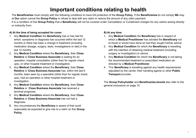# **Important conditions relating to health**

The **Beneficiaries** must comply with the following conditions to have full protection of the **Group Policy**. If the **Beneficiaries** do not comply **We** may at **Our** option cancel the **Group Policy** or refuse to deal with any claim or reduce the amount of any claim payment. It is a condition of this **Group Policy** that a **Beneficiary** will not be covered under Cancellation or Curtailment charges for any claims arising directly or indirectly from:

#### **A) At the time of being accepted for cover:**

- 1. Any **Medical Condition** the **Beneficiary** has or has had for which: symptoms or diagnosis has occurred within the last 12 months or there has been a change in treatment (including medication dosage, surgery, tests, investigations or diet) in the last 12 months
- 2. Any **Medical Condition** where the **Beneficiary**, their **Close Relative** or **Close Business Associate** is waiting for an operation, hospital consultation (other than for regular check ups), or other hospital treatment or investigation.
- 3. Any **Medical Condition** where the **Beneficiary**, their **Close Relative** or **Close Business Associate** has, within the last 6 months, been seen by a specialist (other than for regular check ups), had an operation or other hospital treatment or investigation.
- 4. Any **Medical Condition** where the **Beneficiary**, their **Close Relative** or **Close Business Associate** has received a terminal prognosis.
- 5. Any **Medical Condition** where the **Beneficiary**, their **Close Relative** or **Close Business Associate** has not had a diagnosis.
- 6. Any circumstances the **Beneficiary** is aware of that could reasonably be expected to give rise to a claim on this **Group Policy**.

#### **B) At any time:**

- 1. Any **Medical Condition** the **Beneficiary** has in respect of which a **Medical Practitioner** has advised the **Beneficiary** not to travel or would have done so had they sought his/her advice.
- 2. Any **Medical Condition** for which the **Beneficiary** is travelling with the intention of obtaining medical treatment (including surgery or investigation) or advice.
- 3. Any **Medical Condition** for which the **Beneficiary** is not taking the recommended treatment or prescribed medication as directed by a **Medical Practitioner**.
- 4. The **Beneficiary** is travelling against any health requirements stipulated by the carrier, their handling agents or other **Public Transport** provider.

The **Group Policyholder** and **Beneficiaries should** also refer to the general exclusions on page 10.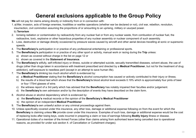# **General exclusions applicable to the Group Policy**

**We** will not pay for claims arising directly or indirectly from or in connection with:

1. a) War, invasion, acts of foreign enemies, hostilities or warlike operations (whether war be declared or not), civil war, rebellion, revolution, insurrection, civil commotion assuming the proportions of or amounting to an uprising, military or usurped power.

#### b) **Terrorism**

- 2. Ionising radiation or contamination by radioactivity from any nuclear fuel or from any nuclear waste, from combustion of nuclear fuel, the radioactive, toxic, explosive or other hazardous properties of any nuclear assembly or nuclear component of such assembly.
- 3. Loss, destruction or damage directly occasioned by pressure waves caused by aircraft and other aerial devices travelling at sonic or supersonic speeds.
- 4. The **Beneficiary's** participation in or practice of any professional entertaining or professional sports.
- 5. The **Beneficiary's** participation in or practice of any other sport or activity, manual work or racing during the **Trip** unless:
	- a) shown as covered without charge in the list on page 12 or
	- b) shown as covered in the **Statement of Insurance**.
- 6. The **Beneficiary's** wilfully, self-inflicted injury or illness, suicide or attempted suicide, sexually transmitted diseases, solvent abuse, the use of drugs (other than drugs taken in accordance with treatment prescribed and directed by a **Medical Practitioner**, but not for the treatment of drug addiction), self-exposure to needless peril (except in an attempt to save human life).
- 7. The **Beneficiary's** drinking too much alcohol which is evidenced by:
	- a) a **Medical Practitioner** stating that the **Beneficiary's** alcohol consumption has caused or actively contributed to their injury or illness.
	- b) the results of a blood test which shows that the **Beneficiary's** blood alcohol level exceeds 0.19% which is approximately four pints of beer or four 175ml glasses of wine.
	- c) the witness report of a 3rd party which has advised that the **Beneficiary** has notably impaired their faculties and/or judgement.
	- d) the B**eneficiary's** own admission and/or by the description of events they have described on the claim form.
- 8. Alcohol abuse or alcohol dependency which is evidenced by:
	- a) the **Beneficiary's** medical records or the opinion of the **Beneficiary's Medical Practitioner**
	- b) the opinion of an independent **Medical Practitioner**
- 9. The **Beneficiary's** own unlawful action or any criminal proceedings against them.
- 10. Unless specifically covered under this insurance, any other loss, damage or additional expense following on from the event for which the **Beneficiary** is claiming unless **We** provide cover under this insurance. Examples of such loss, damage or additional expense would be the cost of replacing locks after losing keys, costs incurred in preparing a claim or loss of earnings following **Bodily Injury** illness or disease.
- 11. Operational duties of a member of the Armed Forces (other than claims arising from authorised leave being cancelled due to operational reasons, as provided for under sub section 4. of Cancellation or Curtailment charges).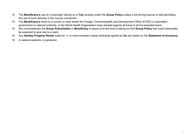- 12. The **Beneficiary's** use of a motorised vehicle on a **Trip** covered under this **Group Policy** unless a full driving licence is held permitting the use of such vehicles in the country concerned.
- 13. The **Beneficiary's** travel to a country or area where the Foreign, Commonwealth and Development Office (FCDO) or equivalent government or national authority, or the World Health Organisation have advised against all travel or all but essential travel.
- 14. Any circumstances the **Group Policyholder** or **Beneficiary** is aware of at the time of taking out this **Group Policy** that could reasonably be expected to give rise to a claim.
- 15. Any **Holiday Property Rental** made for 11 or more travellers unless otherwise agreed by **Us** and stated on the **Statement of Insurance**.
- 16. A medical epidemic or pandemic.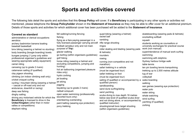### **Sports and activities covered**

The following lists detail the sports and activities that this **Group Policy** will cover. If a **Beneficiary** is participating in any other sports or activities not mentioned, please telephone the **Group Policyholder** shown in the **Statement of Insurance** as they may be able to offer cover for an additional premium. Details of those sports and activities for which additional cover has been purchased will be added to the **Statement of Insurance**.

| Covered as standard                            | fell walking/running fencing               | quad biking (wearing a helmet)            | skateboarding (wearing pads & helmets)    |
|------------------------------------------------|--------------------------------------------|-------------------------------------------|-------------------------------------------|
| administrative or clerical occupations         | fishing                                    | racket ball                               | snorkelling softball                      |
| aerobics                                       | flying as a fare paying passenger in a     | rambling                                  | squash                                    |
| archery badminton banana boating               | fully licensed passenger carrying aircraft | rifle range shooting                      | students working as counsellors or        |
| baseball basketball                            | football (amateur only and not main        | ringos                                    | university exchanges for practical course |
| bmx biking (wearing a helmet no stunting)      | purpose of Trip)                           | roller skating and blading (wearing pads  | work (non manual)                         |
| body boarding (boogie boarding) bowls          | glacier walking                            | & helmets)                                | superintendence of manual work surfing    |
| bungee jumping (1 jump only within             | go karting (within organisers guidelines)  | rounders                                  | swimming                                  |
| professional organiser's guidelines and        | golf hiking                                | rowina                                    | swimming with dolphins                    |
| wearing appropriate safety equipment)          | horse riding (wearing a helmet and         | running (non-competitive and not          | Sydney harbour bridge walk                |
| camel riding                                   | excluding competitions, jumping and        | marathon)                                 | table tennis                              |
| canoeing (up to grade 2 rivers)                | hunting)                                   | safari trekking in a vehicle              | ten pin bowling tennis trampolining       |
| catamaran sailing (if qualified)               | hot air ballooning (organised pleasure     | (must be organised tour)                  | trekking up to 2,500 metres altitude      |
| clay pigeon shooting                           | rides only)                                | safari trekking on foot                   | tug of war                                |
| climbing (on indoor climbing wall only)        | hydro zorbing                              | (must be organised tour)                  | volleyball                                |
| cricket croquet curling                        | jet boating                                | sailing (if qualified or accompanied by a | wake boarding                             |
| cycling / mountain biking (wearing a helmet    | jet skiing                                 | qualified person)                         | walking                                   |
| - casual or off-road only and not              | jogging                                    | sandboarding                              | war games (wearing eye protection)        |
| endurance, downhill or racing)                 | kayaking (up to grade 2 rivers)            | sand dune surfing/skiing                  | water polo                                |
| deep sea fishing                               | netball octopush                           | sand yachting                             | water skiing                              |
| dinghy sailing                                 | open water swimming (professionally        | scuba diving to max depth 18 metres       | whale watching                            |
| driving any motorised vehicle for which the    | escorted tours only)                       | below sea level (if qualified scuba diver | wind surfing                              |
| <b>Beneficiary</b> is licensed to drive in the | orienteering overlanding                   | and not diving alone, or accompanied by   | yachting (if qualified)                   |
| United Kingdom (other than in motor            | paint balling (wearing eye protection)     | qualified instructor)                     | zorbing                                   |
| rallies or competitions)                       | pony trekking                              | shooting/small bore target shooting       |                                           |
| elephant riding                                |                                            | (within organisers quidelines)            |                                           |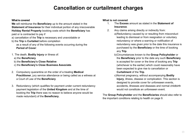### **Cancellation or curtailment charges**

#### **What is covered**

**We** will reimburse the **Beneficiary** up to the amount stated in the **Statement of Insurance** for their individual portion of any irrecoverable **Holiday Rental Property** booking costs which the **Beneficiary** has paid or is contracted to pay if

- a) cancellation of the **Trip** is necessary and unavoidable or
- b) the **Trip** is **Curtailed** before completion as a result of any of the following events occurring during the **Period of Cover**:
- 1. The death, **Bodily Injury** or illness of:
- a) the **Beneficiary**
- b) the **Beneficiary's Close Relative**
- c) the **Beneficiary's Close Business Associate**.
- 2. Compulsory quarantine on the order of a treating **Medical Practitioner**, jury service attendance or being called as a witness at a Court of Law of the **Beneficiary**
- 3. Redundancy (which qualifies for payment under current redundancy payment legislation of the **United Kingdom** and at the time of booking the **Trip** there was no reason to believe anyone would be made redundant) of the **Beneficiary.**

#### **What is not covered**

- 1. The **Excess** amount as stated in the **Statement of Insurance**.
- 2. Any claims arising directly or indirectly from:
	- a)Redundancy caused by or resulting from misconduct leading to dismissal or from resignation or voluntary redundancy or where a warning or notification of redundancy was given prior to the date this insurance is purchased by the **Beneficiary** or the time of booking any **Trip**.
		- b)Circumstances known to the **Group Policyholder** or the **Beneficiary** prior to the date any such **Beneficiary** is accepted for cover or the time of booking any **Trip**  (whichever is the earlier) which could reasonably have been expected to give rise to cancellation or **Curtailment** of the **Trip**.
		- c)Normal pregnancy, without accompanying **Bodily Injury**, illness, disease or complication. This section is designed to provide cover for unforeseen events, accidents, illnesses and diseases and normal childbirth would not constitute an unforeseen event.

The **Group Policyholder** and the **Beneficiaries** should also refer to the important conditions relating to health on page 9.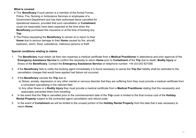#### **What is covered**

- 4.The **Beneficiary** if such person is a member of the Armed Forces, Police, Fire, Nursing or Ambulance Services or employees of a Government Department and has their authorised leave cancelled for operational reasons, provided that such cancellation or **Curtailment** could not reasonably have been expected at the time when the **Beneficiary** purchased this insurance or at the time of booking any **Trip**.
- 5.The Police requesting the **Beneficiary** to remain at or return to their **Home** due to serious damage to their **Home** caused by fire, aircraft, explosion, storm, flood, subsidence, malicious persons or theft.

#### **Special conditions relating to claims**

- 1. The **Beneficiary** must obtain (at their own expense) a medical certificate from a **Medical Practitioner** in attendance and prior approval of the **Emergency Assistance Service** to confirm the necessity to return **Home** prior to **Curtailment** of the **Trip** due to death, **Bodily Injury** or illness of the **Beneficiary**. Contact the **Emergency Assistance Service** on telephone number: +44 (0)1243 621058.
- 2. If the **Beneficiary** fails to notify the booking agent immediately it is found necessary to cancel the **Trip Our** liability shall be restricted to the cancellation charges that would have applied had failure not occurred.
- 3. If the **Beneficiary** cancels the **Trip** due to
	- a) Stress, anxiety, depression or any other mental or nervous disorder that they are suffering from they must provide a medical certificate from a consultant specialising in the relevant field
	- b) Any other illness or a **Bodily Injury** they must provide a medical certificate from a **Medical Practitioner** stating that this necessarily and reasonably prevented them from travelling.
- 4. In the event that the **Trip** is cancelled prior to the commencement date of the **Trip** cover is limited to the final invoice cost of the **Holiday Rental Property** subject to the contracted agent cancellation and refund scale.
- 5. In the event of **Curtailment** we will be limited to the unused portion of the **Holiday Rental Property** from the date that it was necessary to return **Home**.